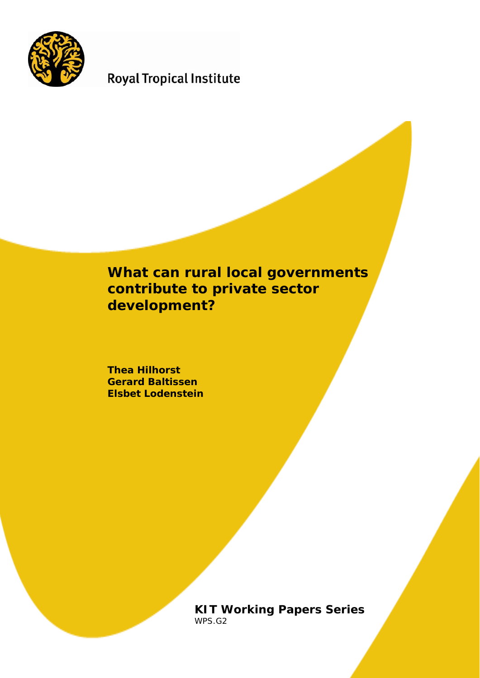

# **Royal Tropical Institute**

# **What can rural local governments contribute to private sector development?**

**Thea Hilhorst Gerard Baltissen Elsbet Lodenstein** 

> **KIT Working Papers Series**  WPS.G2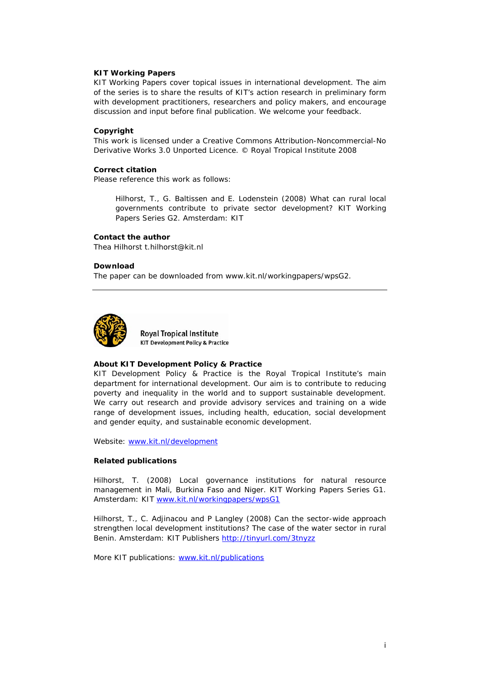### **KIT Working Papers**

KIT Working Papers cover topical issues in international development. The aim of the series is to share the results of KIT's action research in preliminary form with development practitioners, researchers and policy makers, and encourage discussion and input before final publication. We welcome your feedback.

#### **Copyright**

This work is licensed under a Creative Commons Attribution-Noncommercial-No Derivative Works 3.0 Unported Licence. © Royal Tropical Institute 2008

#### **Correct citation**

Please reference this work as follows:

Hilhorst, T., G. Baltissen and E. Lodenstein (2008) *What can rural local governments contribute to private sector development?* KIT Working Papers Series G2. Amsterdam: KIT

#### **Contact the author**

Thea Hilhorst t.hilhorst@kit.nl

#### **Download**

The paper can be downloaded from www.kit.nl/workingpapers/wpsG2.



**Royal Tropical Institute KIT Development Policy & Practice** 

#### **About KIT Development Policy & Practice**

KIT Development Policy & Practice is the Royal Tropical Institute's main department for international development. Our aim is to contribute to reducing poverty and inequality in the world and to support sustainable development. We carry out research and provide advisory services and training on a wide range of development issues, including health, education, social development and gender equity, and sustainable economic development.

Website: [www.kit.nl/development](http://www.kit.nl/development)

#### **Related publications**

Hilhorst, T. (2008) *Local governance institutions for natural resource management in Mali, Burkina Faso and Niger*. KIT Working Papers Series G1. Amsterdam: KIT [www.kit.nl/workingpapers/wpsG1](http://www.kit.nl/workingpapers/wpsG1)

Hilhorst, T., C. Adjinacou and P Langley (2008) *Can the sector-wide approach strengthen local development institutions? The case of the water sector in rural*  Benin. Amsterdam: KIT Publishers<http://tinyurl.com/3tnyzz>

More KIT publications: [www.kit.nl/publications](http://www.kit.nl/publications)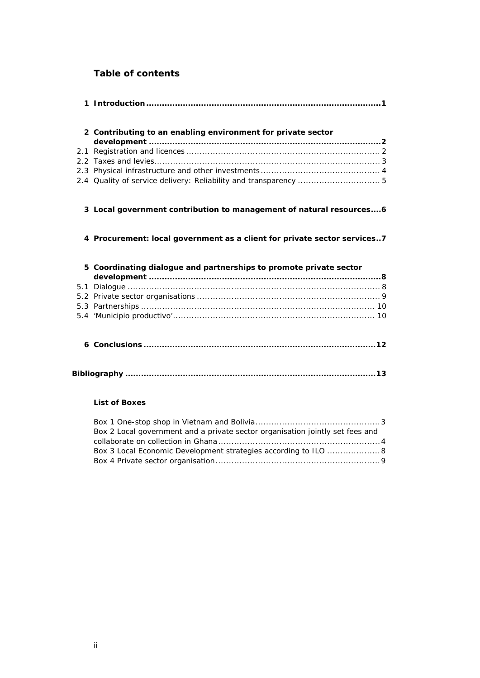# **Table of contents**

|  | 2 Contributing to an enabling environment for private sector             |  |
|--|--------------------------------------------------------------------------|--|
|  |                                                                          |  |
|  |                                                                          |  |
|  |                                                                          |  |
|  |                                                                          |  |
|  | 3 Local government contribution to management of natural resources6      |  |
|  | 4 Procurement: local government as a client for private sector services7 |  |
|  | 5 Coordinating dialogue and partnerships to promote private sector       |  |
|  |                                                                          |  |
|  |                                                                          |  |
|  |                                                                          |  |
|  |                                                                          |  |
|  |                                                                          |  |
|  |                                                                          |  |

# **List of Boxes**

| Box 2 Local government and a private sector organisation jointly set fees and |
|-------------------------------------------------------------------------------|
|                                                                               |
| Box 3 Local Economic Development strategies according to ILO 8                |
|                                                                               |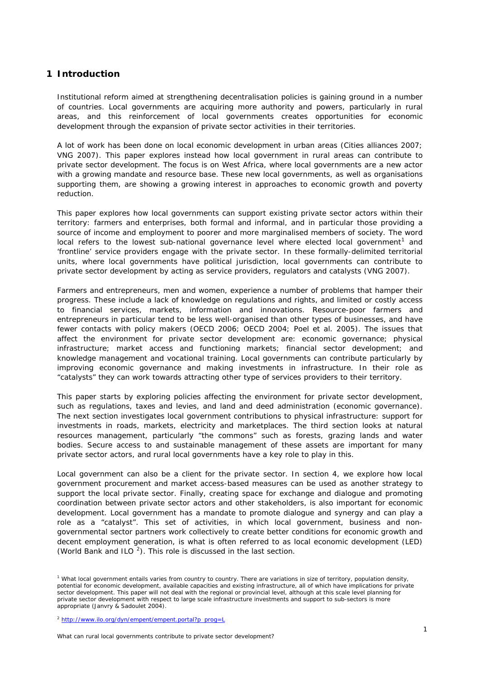# <span id="page-4-0"></span>**1 Introduction**

Institutional reform aimed at strengthening decentralisation policies is gaining ground in a number of countries. Local governments are acquiring more authority and powers, particularly in rural areas, and this reinforcement of local governments creates opportunities for economic development through the expansion of private sector activities in their territories.

A lot of work has been done on local economic development in urban areas (Cities alliances 2007; VNG 2007). This paper explores instead how local government in rural areas can contribute to private sector development. The focus is on West Africa, where local governments are a new actor with a growing mandate and resource base. These new local governments, as well as organisations supporting them, are showing a growing interest in approaches to economic growth and poverty reduction.

This paper explores how local governments can support existing private sector actors within their territory: farmers and enterprises, both formal and informal, and in particular those providing a source of income and employment to poorer and more marginalised members of society. The word local refers to the lowest sub-national governance level where elected local government<sup>[1](#page-4-1)</sup> and 'frontline' service providers engage with the private sector. In these formally-delimited territorial units, where local governments have political jurisdiction, local governments can contribute to private sector development by acting as service providers, regulators and catalysts (VNG 2007).

Farmers and entrepreneurs, men and women, experience a number of problems that hamper their progress. These include a lack of knowledge on regulations and rights, and limited or costly access to financial services, markets, information and innovations. Resource-poor farmers and entrepreneurs in particular tend to be less well-organised than other types of businesses, and have fewer contacts with policy makers (OECD 2006; OECD 2004; Poel *et al.* 2005). The issues that affect the environment for private sector development are: economic governance; physical infrastructure; market access and functioning markets; financial sector development; and knowledge management and vocational training. Local governments can contribute particularly by improving economic governance and making investments in infrastructure. In their role as "catalysts" they can work towards attracting other type of services providers to their territory.

This paper starts by exploring policies affecting the environment for private sector development, such as regulations, taxes and levies, and land and deed administration (economic governance). The next section investigates local government contributions to physical infrastructure: support for investments in roads, markets, electricity and marketplaces. The third section looks at natural resources management, particularly "the commons" such as forests, grazing lands and water bodies. Secure access to and sustainable management of these assets are important for many private sector actors, and rural local governments have a key role to play in this.

Local government can also be a client for the private sector. In section 4, we explore how local government procurement and market access-based measures can be used as another strategy to support the local private sector. Finally, creating space for exchange and dialogue and promoting coordination between private sector actors and other stakeholders, is also important for economic development. Local government has a mandate to promote dialogue and synergy and can play a role as a "catalyst". This set of activities, in which local government, business and nongovernmental sector partners work collectively to create better conditions for economic growth and decent employment generation, is what is often referred to as local economic development (LED) (World Bank and ILO  $^2$  $^2$ ). This role is discussed in the last section.

<span id="page-4-1"></span><sup>&</sup>lt;sup>1</sup> What local government entails varies from country to country. There are variations in size of territory, population density, potential for economic development, available capacities and existing infrastructure, all of which have implications for private sector development. This paper will not deal with the regional or provincial level, although at this scale level planning for private sector development with respect to large scale infrastructure investments and support to sub-sectors is more appropriate (Janvry & Sadoulet 2004).

<span id="page-4-2"></span><sup>&</sup>lt;sup>2</sup> http://www.ilo.org/dyn/empent/empent.portal?p\_prog=L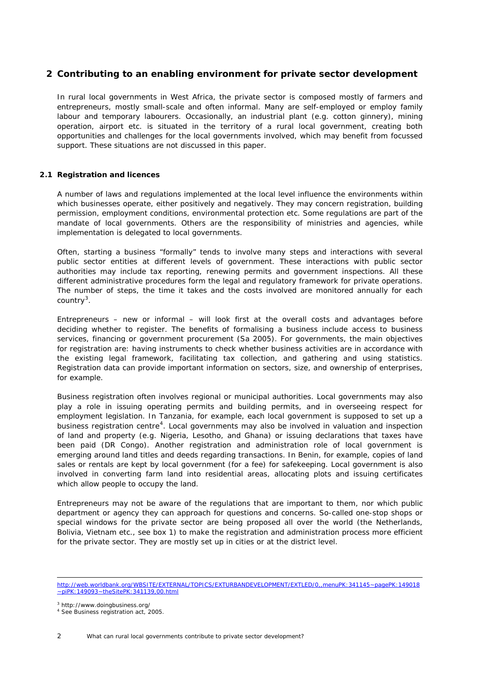# <span id="page-5-0"></span>**2 Contributing to an enabling environment for private sector development**

In rural local governments in West Africa, the private sector is composed mostly of farmers and entrepreneurs, mostly small-scale and often informal. Many are self-employed or employ family labour and temporary labourers. Occasionally, an industrial plant (e.g. cotton ginnery), mining operation, airport etc. is situated in the territory of a rural local government, creating both opportunities and challenges for the local governments involved, which may benefit from focussed support. These situations are not discussed in this paper.

## <span id="page-5-1"></span>**2.1 Registration and licences**

A number of laws and regulations implemented at the local level influence the environments within which businesses operate, either positively and negatively. They may concern registration, building permission, employment conditions, environmental protection etc. Some regulations are part of the mandate of local governments. Others are the responsibility of ministries and agencies, while implementation is delegated to local governments.

Often, starting a business "formally" tends to involve many steps and interactions with several public sector entities at different levels of government. These interactions with public sector authorities may include tax reporting, renewing permits and government inspections. All these different administrative procedures form the legal and regulatory framework for private operations. The number of steps, the time it takes and the costs involved are monitored annually for each country<sup>[3](#page-5-2)</sup>.

Entrepreneurs – new or informal – will look first at the overall costs and advantages before deciding whether to register. The benefits of formalising a business include access to business services, financing or government procurement (Sa 2005). For governments, the main objectives for registration are: having instruments to check whether business activities are in accordance with the existing legal framework, facilitating tax collection, and gathering and using statistics. Registration data can provide important information on sectors, size, and ownership of enterprises, for example.

Business registration often involves regional or municipal authorities. Local governments may also play a role in issuing operating permits and building permits, and in overseeing respect for employment legislation. In Tanzania, for example, each local government is supposed to set up a business registration centre<sup>[4](#page-5-3)</sup>. Local governments may also be involved in valuation and inspection of land and property (e.g. Nigeria, Lesotho, and Ghana) or issuing declarations that taxes have been paid (DR Congo). Another registration and administration role of local government is emerging around land titles and deeds regarding transactions. In Benin, for example, copies of land sales or rentals are kept by local government (for a fee) for safekeeping. Local government is also involved in converting farm land into residential areas, allocating plots and issuing certificates which allow people to occupy the land.

Entrepreneurs may not be aware of the regulations that are important to them, nor which public department or agency they can approach for questions and concerns. So-called one-stop shops or special windows for the private sector are being proposed all over the world (the Netherlands, Bolivia, Vietnam etc., *see box 1*) to make the registration and administration process more efficient for the private sector. They are mostly set up in cities or at the district level.

<span id="page-5-3"></span><span id="page-5-2"></span>3 http://www.doingbusiness.org/

-

http://web.worldbank.org/WBSITE/EXTERNAL/TOPICS/EXTURBANDEVELOPMENT/EXTLED/0,,menuPK:341145~pagePK:149018 ~piPK:149093~theSitePK:341139,00.html

<sup>4</sup> See Business registration act, 2005.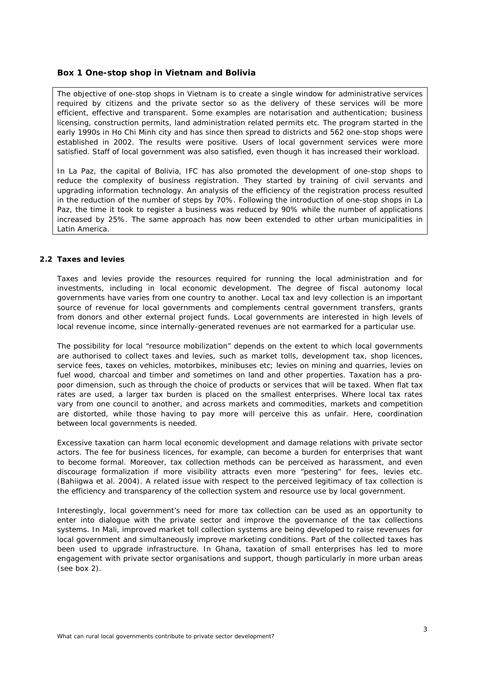## <span id="page-6-1"></span>**Box 1 One-stop shop in Vietnam and Bolivia**

The objective of one-stop shops in Vietnam is to create a single window for administrative services required by citizens and the private sector so as the delivery of these services will be more efficient, effective and transparent. Some examples are notarisation and authentication; business licensing, construction permits, land administration related permits etc. The program started in the early 1990s in Ho Chi Minh city and has since then spread to districts and 562 one-stop shops were established in 2002. The results were positive. Users of local government services were more satisfied. Staff of local government was also satisfied, even though it has increased their workload.

In La Paz, the capital of Bolivia, IFC has also promoted the development of one-stop shops to reduce the complexity of business registration. They started by training of civil servants and upgrading information technology. An analysis of the efficiency of the registration process resulted in the reduction of the number of steps by 70%. Following the introduction of one-stop shops in La Paz, the time it took to register a business was reduced by 90% while the number of applications increased by 25%. The same approach has now been extended to other urban municipalities in Latin America.

#### <span id="page-6-0"></span>**2.2 Taxes and levies**

Taxes and levies provide the resources required for running the local administration and for investments, including in local economic development. The degree of fiscal autonomy local governments have varies from one country to another. Local tax and levy collection is an important source of revenue for local governments and complements central government transfers, grants from donors and other external project funds. Local governments are interested in high levels of local revenue income, since internally-generated revenues are not earmarked for a particular use.

The possibility for local "resource mobilization" depends on the extent to which local governments are authorised to collect taxes and levies, such as market tolls, development tax, shop licences, service fees, taxes on vehicles, motorbikes, minibuses etc; levies on mining and quarries, levies on fuel wood, charcoal and timber and sometimes on land and other properties. Taxation has a propoor dimension, such as through the choice of products or services that will be taxed. When flat tax rates are used, a larger tax burden is placed on the smallest enterprises. Where local tax rates vary from one council to another, and across markets and commodities, markets and competition are distorted, while those having to pay more will perceive this as unfair. Here, coordination between local governments is needed.

Excessive taxation can harm local economic development and damage relations with private sector actors. The fee for business licences, for example, can become a burden for enterprises that want to become formal. Moreover, tax collection methods can be perceived as harassment, and even discourage formalization if more visibility attracts even more "pestering" for fees, levies etc. (Bahiigwa *et al.* 2004). A related issue with respect to the perceived legitimacy of tax collection is the efficiency and transparency of the collection system and resource use by local government.

<span id="page-6-2"></span>Interestingly, local government's need for more tax collection can be used as an opportunity to enter into dialogue with the private sector and improve the governance of the tax collections systems. In Mali, improved market toll collection systems are being developed to raise revenues for local government and simultaneously improve marketing conditions. Part of the collected taxes has been used to upgrade infrastructure. In Ghana, taxation of small enterprises has led to more engagement with private sector organisations and support, though particularly in more urban areas (see box 2).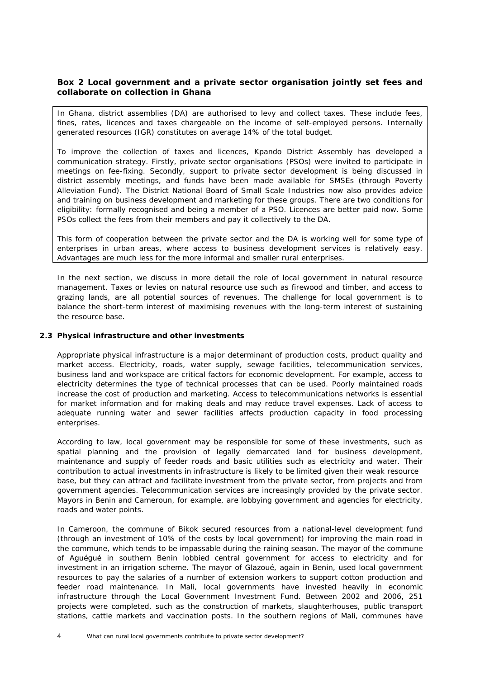# <span id="page-7-2"></span><span id="page-7-1"></span>**Box 2 Local government and a private sector organisation jointly set fees and collaborate on collection in Ghana**

In Ghana, district assemblies (DA) are authorised to levy and collect taxes. These include fees, fines, rates, licences and taxes chargeable on the income of self-employed persons. Internally generated resources (IGR) constitutes on average 14% of the total budget.

To improve the collection of taxes and licences, Kpando District Assembly has developed a communication strategy. Firstly, private sector organisations (PSOs) were invited to participate in meetings on fee-fixing. Secondly, support to private sector development is being discussed in district assembly meetings, and funds have been made available for SMSEs (through Poverty Alleviation Fund). The District National Board of Small Scale Industries now also provides advice and training on business development and marketing for these groups. There are two conditions for eligibility: formally recognised and being a member of a PSO. Licences are better paid now. Some PSOs collect the fees from their members and pay it collectively to the DA.

This form of cooperation between the private sector and the DA is working well for some type of enterprises in urban areas, where access to business development services is relatively easy. Advantages are much less for the more informal and smaller rural enterprises.

In the next section, we discuss in more detail the role of local government in natural resource management. Taxes or levies on natural resource use such as firewood and timber, and access to grazing lands, are all potential sources of revenues. The challenge for local government is to balance the short-term interest of maximising revenues with the long-term interest of sustaining the resource base.

## <span id="page-7-0"></span>**2.3 Physical infrastructure and other investments**

Appropriate physical infrastructure is a major determinant of production costs, product quality and market access. Electricity, roads, water supply, sewage facilities, telecommunication services, business land and workspace are critical factors for economic development. For example, access to electricity determines the type of technical processes that can be used. Poorly maintained roads increase the cost of production and marketing. Access to telecommunications networks is essential for market information and for making deals and may reduce travel expenses. Lack of access to adequate running water and sewer facilities affects production capacity in food processing enterprises.

According to law, local government may be responsible for some of these investments, such as spatial planning and the provision of legally demarcated land for business development, maintenance and supply of feeder roads and basic utilities such as electricity and water. Their contribution to actual investments in infrastructure is likely to be limited given their weak resource base, but they can attract and facilitate investment from the private sector, from projects and from government agencies. Telecommunication services are increasingly provided by the private sector. Mayors in Benin and Cameroun, for example, are lobbying government and agencies for electricity, roads and water points.

In Cameroon, the commune of Bikok secured resources from a national-level development fund (through an investment of 10% of the costs by local government) for improving the main road in the commune, which tends to be impassable during the raining season. The mayor of the commune of Aguégué in southern Benin lobbied central government for access to electricity and for investment in an irrigation scheme. The mayor of Glazoué, again in Benin, used local government resources to pay the salaries of a number of extension workers to support cotton production and feeder road maintenance. In Mali, local governments have invested heavily in economic infrastructure through the Local Government Investment Fund. Between 2002 and 2006, 251 projects were completed, such as the construction of markets, slaughterhouses, public transport stations, cattle markets and vaccination posts. In the southern regions of Mali, communes have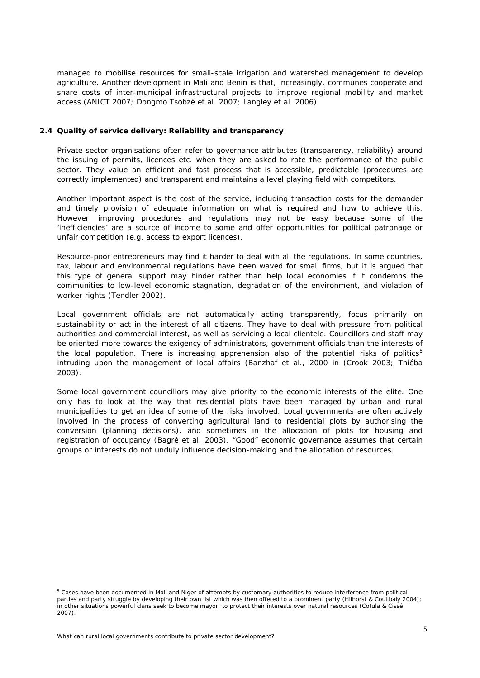managed to mobilise resources for small-scale irrigation and watershed management to develop agriculture. Another development in Mali and Benin is that, increasingly, communes cooperate and share costs of inter-municipal infrastructural projects to improve regional mobility and market access (ANICT 2007; Dongmo Tsobzé et al. 2007; Langley et al. 2006).

#### <span id="page-8-0"></span>**2.4 Quality of service delivery: Reliability and transparency**

Private sector organisations often refer to governance attributes (transparency, reliability) around the issuing of permits, licences etc. when they are asked to rate the performance of the public sector. They value an efficient and fast process that is accessible, predictable (procedures are correctly implemented) and transparent and maintains a level playing field with competitors.

Another important aspect is the cost of the service, including transaction costs for the demander and timely provision of adequate information on what is required and how to achieve this. However, improving procedures and regulations may not be easy because some of the 'inefficiencies' are a source of income to some and offer opportunities for political patronage or unfair competition (e.g. access to export licences).

Resource-poor entrepreneurs may find it harder to deal with all the regulations. In some countries, tax, labour and environmental regulations have been waved for small firms, but it is argued that this type of general support may hinder rather than help local economies if it condemns the communities to low-level economic stagnation, degradation of the environment, and violation of worker rights (Tendler 2002).

Local government officials are not automatically acting transparently, focus primarily on sustainability or act in the interest of all citizens. They have to deal with pressure from political authorities and commercial interest, as well as servicing a local clientele. Councillors and staff may be oriented more towards the exigency of administrators, government officials than the interests of the local population. There is increasing apprehension also of the potential risks of politics<sup>[5](#page-8-1)</sup> intruding upon the management of local affairs (Banzhaf *et al*., 2000 in (Crook 2003; Thiéba 2003).

Some local government councillors may give priority to the economic interests of the elite. One only has to look at the way that residential plots have been managed by urban and rural municipalities to get an idea of some of the risks involved. Local governments are often actively involved in the process of converting agricultural land to residential plots by authorising the conversion (planning decisions), and sometimes in the allocation of plots for housing and registration of occupancy (Bagré et al. 2003). "Good" economic governance assumes that certain groups or interests do not unduly influence decision-making and the allocation of resources.

<span id="page-8-1"></span><sup>&</sup>lt;sup>5</sup> Cases have been documented in Mali and Niger of attempts by customary authorities to reduce interference from political parties and party struggle by developing their own list which was then offered to a prominent party (Hilhorst & Coulibaly 2004); in other situations powerful clans seek to become mayor, to protect their interests over natural resources (Cotula & Cissé 2007).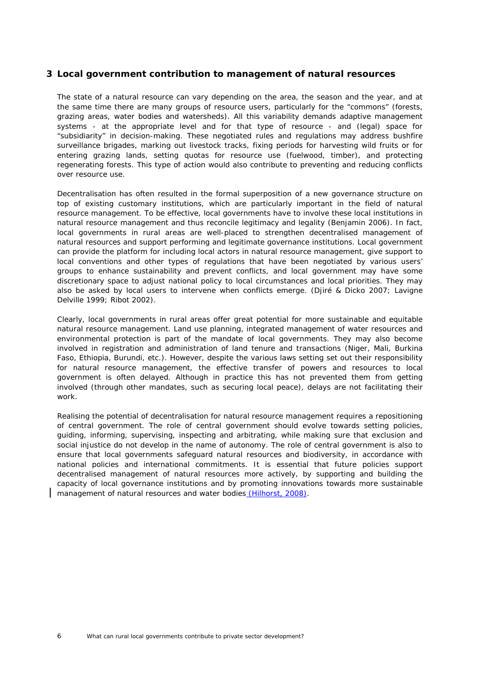# <span id="page-9-0"></span>**3 Local government contribution to management of natural resources**

The state of a natural resource can vary depending on the area, the season and the year, and at the same time there are many groups of resource users, particularly for the "commons" (forests, grazing areas, water bodies and watersheds). All this variability demands adaptive management systems - at the appropriate level and for that type of resource - and (legal) space for "subsidiarity" in decision-making. These negotiated rules and regulations may address bushfire surveillance brigades, marking out livestock tracks, fixing periods for harvesting wild fruits or for entering grazing lands, setting quotas for resource use (fuelwood, timber), and protecting regenerating forests. This type of action would also contribute to preventing and reducing conflicts over resource use.

Decentralisation has often resulted in the formal superposition of a new governance structure on top of existing customary institutions, which are particularly important in the field of natural resource management. To be effective, local governments have to involve these local institutions in natural resource management and thus reconcile legitimacy and legality (Benjamin 2006). In fact, local governments in rural areas are well-placed to strengthen decentralised management of natural resources and support performing and legitimate governance institutions. Local government can provide the platform for including local actors in natural resource management, give support to local conventions and other types of regulations that have been negotiated by various users' groups to enhance sustainability and prevent conflicts, and local government may have some discretionary space to adjust national policy to local circumstances and local priorities. They may also be asked by local users to intervene when conflicts emerge. (Djiré & Dicko 2007; Lavigne Delville 1999; Ribot 2002).

Clearly, local governments in rural areas offer great potential for more sustainable and equitable natural resource management. Land use planning, integrated management of water resources and environmental protection is part of the mandate of local governments. They may also become involved in registration and administration of land tenure and transactions (Niger, Mali, Burkina Faso, Ethiopia, Burundi, etc.). However, despite the various laws setting set out their responsibility for natural resource management, the effective transfer of powers and resources to local government is often delayed. Although in practice this has not prevented them from getting involved (through other mandates, such as securing local peace), delays are not facilitating their work.

Realising the potential of decentralisation for natural resource management requires a repositioning of central government. The role of central government should evolve towards setting policies, guiding, informing, supervising, inspecting and arbitrating, while making sure that exclusion and social injustice do not develop in the name of autonomy. The role of central government is also to ensure that local governments safeguard natural resources and biodiversity, in accordance with national policies and international commitments. It is essential that future policies support decentralised management of natural resources more actively, by supporting and building the capacity of local governance institutions and by promoting innovations towards more sustainable management of natural resources and water bodies (Hilhorst, 2008).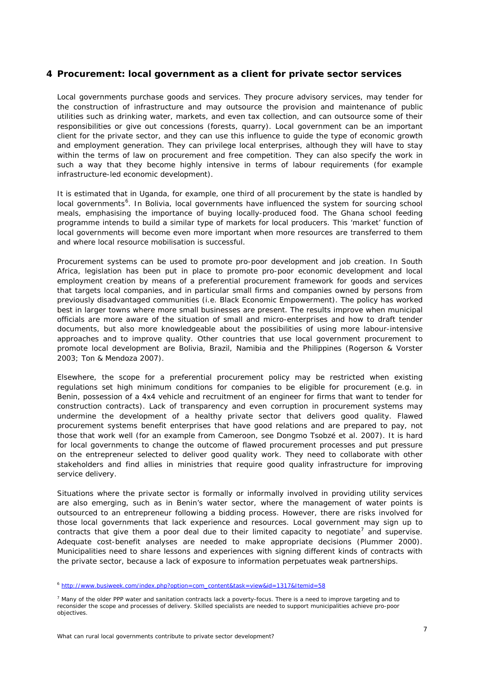# <span id="page-10-0"></span>**4 Procurement: local government as a client for private sector services**

Local governments purchase goods and services. They procure advisory services, may tender for the construction of infrastructure and may outsource the provision and maintenance of public utilities such as drinking water, markets, and even tax collection, and can outsource some of their responsibilities or give out concessions (forests, quarry). Local government can be an important client for the private sector, and they can use this influence to guide the type of economic growth and employment generation. They can privilege local enterprises, although they will have to stay within the terms of law on procurement and free competition. They can also specify the work in such a way that they become highly intensive in terms of labour requirements (for example infrastructure-led economic development).

It is estimated that in Uganda, for example, one third of all procurement by the state is handled by local governments<sup>[6](#page-10-1)</sup>. In Bolivia, local governments have influenced the system for sourcing school meals, emphasising the importance of buying locally-produced food. The Ghana school feeding programme intends to build a similar type of markets for local producers. This 'market' function of local governments will become even more important when more resources are transferred to them and where local resource mobilisation is successful.

Procurement systems can be used to promote pro-poor development and job creation. In South Africa, legislation has been put in place to promote pro-poor economic development and local employment creation by means of a preferential procurement framework for goods and services that targets local companies, and in particular small firms and companies owned by persons from previously disadvantaged communities (i.e. Black Economic Empowerment). The policy has worked best in larger towns where more small businesses are present. The results improve when municipal officials are more aware of the situation of small and micro-enterprises and how to draft tender documents, but also more knowledgeable about the possibilities of using more labour-intensive approaches and to improve quality. Other countries that use local government procurement to promote local development are Bolivia, Brazil, Namibia and the Philippines (Rogerson & Vorster 2003; Ton & Mendoza 2007).

Elsewhere, the scope for a preferential procurement policy may be restricted when existing regulations set high minimum conditions for companies to be eligible for procurement (e.g. in Benin, possession of a 4x4 vehicle and recruitment of an engineer for firms that want to tender for construction contracts). Lack of transparency and even corruption in procurement systems may undermine the development of a healthy private sector that delivers good quality. Flawed procurement systems benefit enterprises that have good relations and are prepared to pay, not those that work well (for an example from Cameroon, see Dongmo Tsobzé et al. 2007). It is hard for local governments to change the outcome of flawed procurement processes and put pressure on the entrepreneur selected to deliver good quality work. They need to collaborate with other stakeholders and find allies in ministries that require good quality infrastructure for improving service delivery.

Situations where the private sector is formally or informally involved in providing utility services are also emerging, such as in Benin's water sector, where the management of water points is outsourced to an entrepreneur following a bidding process. However, there are risks involved for those local governments that lack experience and resources. Local government may sign up to contracts that give them a poor deal due to their limited capacity to negotiate<sup>[7](#page-10-2)</sup> and supervise. Adequate cost-benefit analyses are needed to make appropriate decisions (Plummer 2000). Municipalities need to share lessons and experiences with signing different kinds of contracts with the private sector, because a lack of exposure to information perpetuates weak partnerships.

<span id="page-10-1"></span><sup>6</sup> http://www.busiweek.com/index.php?option=com\_content&task=view&id=1317&Itemid=58

<span id="page-10-2"></span><sup>&</sup>lt;sup>7</sup> Many of the older PPP water and sanitation contracts lack a poverty-focus. There is a need to improve targeting and to reconsider the scope and processes of delivery. Skilled specialists are needed to support municipalities achieve pro-poor objectives.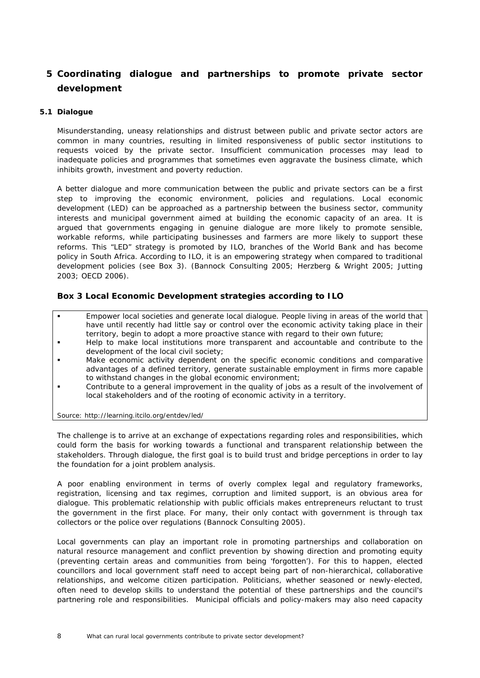# <span id="page-11-2"></span><span id="page-11-0"></span>**5 Coordinating dialogue and partnerships to promote private sector development**

## <span id="page-11-1"></span>**5.1 Dialogue**

Misunderstanding, uneasy relationships and distrust between public and private sector actors are common in many countries, resulting in limited responsiveness of public sector institutions to requests voiced by the private sector. Insufficient communication processes may lead to inadequate policies and programmes that sometimes even aggravate the business climate, which inhibits growth, investment and poverty reduction.

A better dialogue and more communication between the public and private sectors can be a first step to improving the economic environment, policies and regulations. Local economic development (LED) can be approached as a partnership between the business sector, community interests and municipal government aimed at building the economic capacity of an area. It is argued that governments engaging in genuine dialogue are more likely to promote sensible, workable reforms, while participating businesses and farmers are more likely to support these reforms. This "LED" strategy is promoted by ILO, branches of the World Bank and has become policy in South Africa. According to ILO, it is an empowering strategy when compared to traditional development policies (see Box 3). (Bannock Consulting 2005; Herzberg & Wright 2005; Jutting 2003; OECD 2006).

# <span id="page-11-3"></span>**Box 3 Local Economic Development strategies according to ILO**

- Empower local societies and generate local dialogue. People living in areas of the world that have until recently had little say or control over the economic activity taking place in their territory, begin to adopt a more proactive stance with regard to their own future;
- Help to make local institutions more transparent and accountable and contribute to the development of the local civil society;
- Make economic activity dependent on the specific economic conditions and comparative advantages of a defined territory, generate sustainable employment in firms more capable to withstand changes in the global economic environment;
- Contribute to a general improvement in the quality of jobs as a result of the involvement of local stakeholders and of the rooting of economic activity in a territory.

Source: http://learning.itcilo.org/entdev/led/

The challenge is to arrive at an exchange of expectations regarding roles and responsibilities, which could form the basis for working towards a functional and transparent relationship between the stakeholders. Through dialogue, the first goal is to build trust and bridge perceptions in order to lay the foundation for a joint problem analysis.

A poor enabling environment in terms of overly complex legal and regulatory frameworks, registration, licensing and tax regimes, corruption and limited support, is an obvious area for dialogue. This problematic relationship with public officials makes entrepreneurs reluctant to trust the government in the first place. For many, their only contact with government is through tax collectors or the police over regulations (Bannock Consulting 2005).

Local governments can play an important role in promoting partnerships and collaboration on natural resource management and conflict prevention by showing direction and promoting equity (preventing certain areas and communities from being 'forgotten'). For this to happen, elected councillors and local government staff need to accept being part of non-hierarchical, collaborative relationships, and welcome citizen participation. Politicians, whether seasoned or newly-elected, often need to develop skills to understand the potential of these partnerships and the council's partnering role and responsibilities. Municipal officials and policy-makers may also need capacity

8 What can rural local governments contribute to private sector development?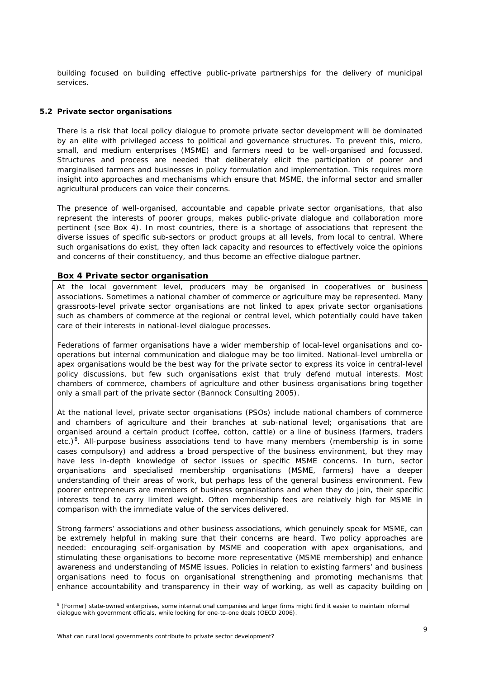<span id="page-12-1"></span>building focused on building effective public-private partnerships for the delivery of municipal services.

#### <span id="page-12-0"></span>**5.2 Private sector organisations**

There is a risk that local policy dialogue to promote private sector development will be dominated by an elite with privileged access to political and governance structures. To prevent this, micro, small, and medium enterprises (MSME) and farmers need to be well-organised and focussed. Structures and process are needed that deliberately elicit the participation of poorer and marginalised farmers and businesses in policy formulation and implementation. This requires more insight into approaches and mechanisms which ensure that MSME, the informal sector and smaller agricultural producers can voice their concerns.

The presence of well-organised, accountable and capable private sector organisations, that also represent the interests of poorer groups, makes public-private dialogue and collaboration more pertinent (*see Box 4*). In most countries, there is a shortage of associations that represent the diverse issues of specific sub-sectors or product groups at all levels, from local to central. Where such organisations do exist, they often lack capacity and resources to effectively voice the opinions and concerns of their constituency, and thus become an effective dialogue partner.

#### <span id="page-12-2"></span>**Box 4 Private sector organisation**

At the local government level, producers may be organised in cooperatives or business associations. Sometimes a national chamber of commerce or agriculture may be represented. Many grassroots-level private sector organisations are not linked to apex private sector organisations such as chambers of commerce at the regional or central level, which potentially could have taken care of their interests in national-level dialogue processes.

Federations of farmer organisations have a wider membership of local-level organisations and cooperations but internal communication and dialogue may be too limited. National-level umbrella or apex organisations would be the best way for the private sector to express its voice in central-level policy discussions, but few such organisations exist that truly defend mutual interests. Most chambers of commerce, chambers of agriculture and other business organisations bring together only a small part of the private sector (Bannock Consulting 2005).

At the national level, private sector organisations (PSOs) include national chambers of commerce and chambers of agriculture and their branches at sub-national level; organisations that are organised around a certain product (coffee, cotton, cattle) or a line of business (farmers, traders etc.)<sup>[8](#page-12-3)</sup>. All-purpose business associations tend to have many members (membership is in some cases compulsory) and address a broad perspective of the business environment, but they may have less in-depth knowledge of sector issues or specific MSME concerns. In turn, sector organisations and specialised membership organisations (MSME, farmers) have a deeper understanding of their areas of work, but perhaps less of the general business environment. Few poorer entrepreneurs are members of business organisations and when they do join, their specific interests tend to carry limited weight. Often membership fees are relatively high for MSME in comparison with the immediate value of the services delivered.

Strong farmers' associations and other business associations, which genuinely speak for MSME, can be extremely helpful in making sure that their concerns are heard. Two policy approaches are needed: encouraging self-organisation by MSME and cooperation with apex organisations, and stimulating these organisations to become more representative (MSME membership) and enhance awareness and understanding of MSME issues. Policies in relation to existing farmers' and business organisations need to focus on organisational strengthening and promoting mechanisms that enhance accountability and transparency in their way of working, as well as capacity building on

<span id="page-12-3"></span><sup>&</sup>lt;sup>8</sup> (Former) state-owned enterprises, some international companies and larger firms might find it easier to maintain informal dialogue with government officials, while looking for one-to-one deals (OECD 2006).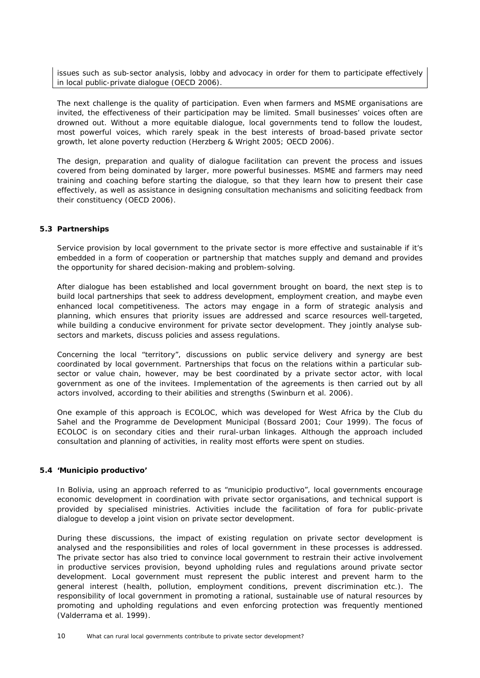issues such as sub-sector analysis, lobby and advocacy in order for them to participate effectively in local public-private dialogue (OECD 2006).

The next challenge is the quality of participation. Even when farmers and MSME organisations are invited, the effectiveness of their participation may be limited. Small businesses' voices often are drowned out. Without a more equitable dialogue, local governments tend to follow the loudest, most powerful voices, which rarely speak in the best interests of broad-based private sector growth, let alone poverty reduction (Herzberg & Wright 2005; OECD 2006).

The design, preparation and quality of dialogue facilitation can prevent the process and issues covered from being dominated by larger, more powerful businesses. MSME and farmers may need training and coaching before starting the dialogue, so that they learn how to present their case effectively, as well as assistance in designing consultation mechanisms and soliciting feedback from their constituency (OECD 2006).

## <span id="page-13-0"></span>**5.3 Partnerships**

Service provision by local government to the private sector is more effective and sustainable if it's embedded in a form of cooperation or partnership that matches supply and demand and provides the opportunity for shared decision-making and problem-solving.

After dialogue has been established and local government brought on board, the next step is to build local partnerships that seek to address development, employment creation, and maybe even enhanced local competitiveness. The actors may engage in a form of strategic analysis and planning, which ensures that priority issues are addressed and scarce resources well-targeted, while building a conducive environment for private sector development. They jointly analyse subsectors and markets, discuss policies and assess regulations.

Concerning the local "territory", discussions on public service delivery and synergy are best coordinated by local government. Partnerships that focus on the relations within a particular subsector or value chain, however, may be best coordinated by a private sector actor, with local government as one of the invitees. Implementation of the agreements is then carried out by all actors involved, according to their abilities and strengths (Swinburn *et al.* 2006).

One example of this approach is ECOLOC, which was developed for West Africa by the Club du Sahel and the Programme de Development Municipal (Bossard 2001; Cour 1999). The focus of ECOLOC is on secondary cities and their rural-urban linkages. Although the approach included consultation and planning of activities, in reality most efforts were spent on studies.

## <span id="page-13-1"></span>**5.4 'Municipio productivo'**

In Bolivia, using an approach referred to as "municipio productivo", local governments encourage economic development in coordination with private sector organisations, and technical support is provided by specialised ministries. Activities include the facilitation of fora for public-private dialogue to develop a joint vision on private sector development.

During these discussions, the impact of existing regulation on private sector development is analysed and the responsibilities and roles of local government in these processes is addressed. The private sector has also tried to convince local government to restrain their active involvement in productive services provision, beyond upholding rules and regulations around private sector development. Local government must represent the public interest and prevent harm to the general interest (health, pollution, employment conditions, prevent discrimination etc.). The responsibility of local government in promoting a rational, sustainable use of natural resources by promoting and upholding regulations and even enforcing protection was frequently mentioned (Valderrama *et al.* 1999).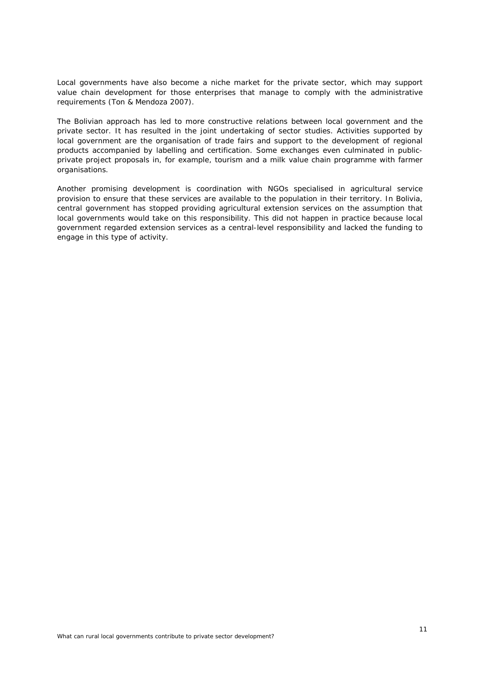Local governments have also become a niche market for the private sector, which may support value chain development for those enterprises that manage to comply with the administrative requirements (Ton & Mendoza 2007).

The Bolivian approach has led to more constructive relations between local government and the private sector. It has resulted in the joint undertaking of sector studies. Activities supported by local government are the organisation of trade fairs and support to the development of regional products accompanied by labelling and certification. Some exchanges even culminated in publicprivate project proposals in, for example, tourism and a milk value chain programme with farmer organisations.

Another promising development is coordination with NGOs specialised in agricultural service provision to ensure that these services are available to the population in their territory. In Bolivia, central government has stopped providing agricultural extension services on the assumption that local governments would take on this responsibility. This did not happen in practice because local government regarded extension services as a central-level responsibility and lacked the funding to engage in this type of activity.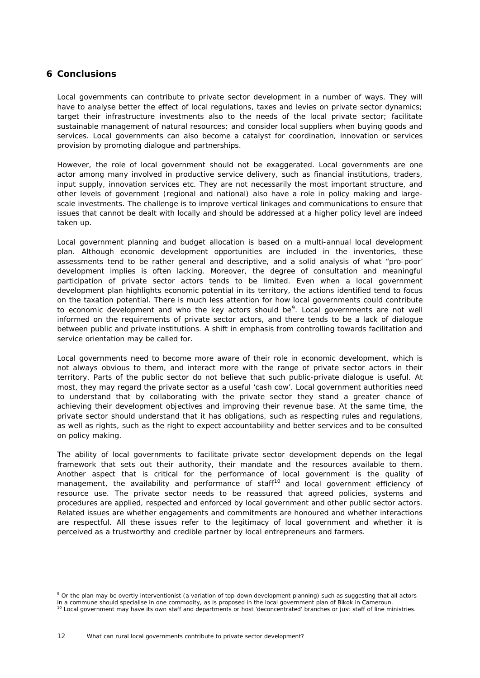# <span id="page-15-0"></span>**6 Conclusions**

Local governments can contribute to private sector development in a number of ways. They will have to analyse better the effect of local regulations, taxes and levies on private sector dynamics; target their infrastructure investments also to the needs of the local private sector; facilitate sustainable management of natural resources; and consider local suppliers when buying goods and services. Local governments can also become a catalyst for coordination, innovation or services provision by promoting dialogue and partnerships.

However, the role of local government should not be exaggerated. Local governments are one actor among many involved in productive service delivery, such as financial institutions, traders, input supply, innovation services etc. They are not necessarily the most important structure, and other levels of government (regional and national) also have a role in policy making and largescale investments. The challenge is to improve vertical linkages and communications to ensure that issues that cannot be dealt with locally and should be addressed at a higher policy level are indeed taken up.

Local government planning and budget allocation is based on a multi-annual local development plan. Although economic development opportunities are included in the inventories, these assessments tend to be rather general and descriptive, and a solid analysis of what "pro-poor' development implies is often lacking. Moreover, the degree of consultation and meaningful participation of private sector actors tends to be limited. Even when a local government development plan highlights economic potential in its territory, the actions identified tend to focus on the taxation potential. There is much less attention for how local governments could contribute to economic development and who the key actors should be<sup>[9](#page-15-1)</sup>. Local governments are not well informed on the requirements of private sector actors, and there tends to be a lack of dialogue between public and private institutions. A shift in emphasis from controlling towards facilitation and service orientation may be called for.

Local governments need to become more aware of their role in economic development, which is not always obvious to them, and interact more with the range of private sector actors in their territory. Parts of the public sector do not believe that such public-private dialogue is useful. At most, they may regard the private sector as a useful 'cash cow'. Local government authorities need to understand that by collaborating with the private sector they stand a greater chance of achieving their development objectives and improving their revenue base. At the same time, the private sector should understand that it has obligations, such as respecting rules and regulations, as well as rights, such as the right to expect accountability and better services and to be consulted on policy making.

The ability of local governments to facilitate private sector development depends on the legal framework that sets out their authority, their mandate and the resources available to them. Another aspect that is critical for the performance of local government is the quality of management, the availability and performance of staff<sup>10</sup> and local government efficiency of resource use. The private sector needs to be reassured that agreed policies, systems and procedures are applied, respected and enforced by local government and other public sector actors. Related issues are whether engagements and commitments are honoured and whether interactions are respectful. All these issues refer to the legitimacy of local government and whether it is perceived as a trustworthy and credible partner by local entrepreneurs and farmers.

<span id="page-15-2"></span><span id="page-15-1"></span><sup>&</sup>lt;sup>9</sup> Or the plan may be overtly interventionist (a variation of top-down development planning) such as suggesting that all actors in a commune should specialise in one commodity, as is proposed in the local government plan of Bikok in Cameroun.<br><sup>10</sup> Local government may have its own staff and departments or host 'deconcentrated' branches or just staf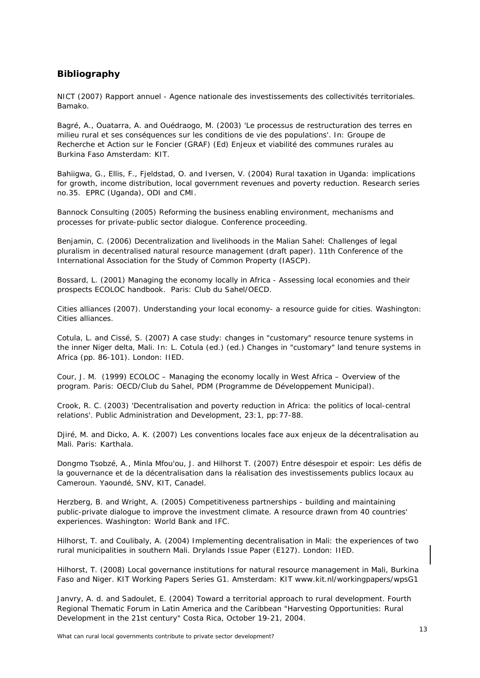# <span id="page-16-0"></span>**Bibliography**

NICT (2007) *Rapport annuel - Agence nationale des investissements des collectivités territoriales*. Bamako.

Bagré, A., Ouatarra, A. and Ouédraogo, M. (2003) 'Le processus de restructuration des terres en milieu rural et ses conséquences sur les conditions de vie des populations'. In: Groupe de Recherche et Action sur le Foncier (GRAF) (Ed) *Enjeux et viabilité des communes rurales au Burkina Faso* Amsterdam: KIT.

Bahiigwa, G., Ellis, F., Fjeldstad, O. and Iversen, V. (2004) *Rural taxation in Uganda: implications for growth, income distribution, local government revenues and poverty reduction.* Research series no.35. EPRC (Uganda), ODI and CMI.

Bannock Consulting (2005) *Reforming the business enabling environment, mechanisms and processes for private-public sector dialogue.* Conference proceeding.

Benjamin, C. (2006) *Decentralization and livelihoods in the Malian Sahel: Challenges of legal pluralism in decentralised natural resource management* (draft paper). 11th Conference of the International Association for the Study of Common Property (IASCP).

Bossard, L. (2001) *Managing the economy locally in Africa - Assessing local economies and their prospects* ECOLOC handbook. Paris: Club du Sahel/OECD.

Cities alliances (2007). *Understanding your local economy- a resource guide for cities*. Washington: Cities alliances.

Cotula, L. and Cissé, S. (2007) A case study: changes in "customary" resource tenure systems in the inner Niger delta, Mali. In: L. Cotula (ed.) (ed.) *Changes in "customary" land tenure systems in Africa* (pp. 86-101). London: IIED.

Cour, J. M. (1999) *ECOLOC – Managing the economy locally in West Africa – Overview of the program*. Paris: OECD/Club du Sahel, PDM (Programme de Développement Municipal).

Crook, R. C. (2003) 'Decentralisation and poverty reduction in Africa: the politics of local-central relations'. *Public Administration and Development*, 23:1, pp:77-88.

Djiré, M. and Dicko, A. K. (2007) *Les conventions locales face aux enjeux de la décentralisation au Mali.* Paris: Karthala.

Dongmo Tsobzé, A., Minla Mfou'ou, J. and Hilhorst T. (2007) *Entre désespoir et espoir: Les défis de*  la gouvernance et de la décentralisation dans la réalisation des investissements publics locaux au *Cameroun*. Yaoundé, SNV, KIT, Canadel.

Herzberg, B. and Wright, A. (2005) *Competitiveness partnerships - building and maintaining public-private dialogue to improve the investment climate*. A resource drawn from 40 countries' experiences. Washington: World Bank and IFC.

Hilhorst, T. and Coulibaly, A. (2004) *Implementing decentralisation in Mali: the experiences of two rural municipalities in southern Mali*. Drylands Issue Paper (E127). London: IIED.

Hilhorst, T. (2008) *Local governance institutions for natural resource management in Mali, Burkina Faso and Niger*. KIT Working Papers Series G1. Amsterdam: KIT www.kit.nl/workingpapers/wpsG1

Janvry, A. d. and Sadoulet, E. (2004) *Toward a territorial approach to rural development.* Fourth Regional Thematic Forum in Latin America and the Caribbean "Harvesting Opportunities: Rural Development in the 21st century" Costa Rica, October 19-21, 2004.